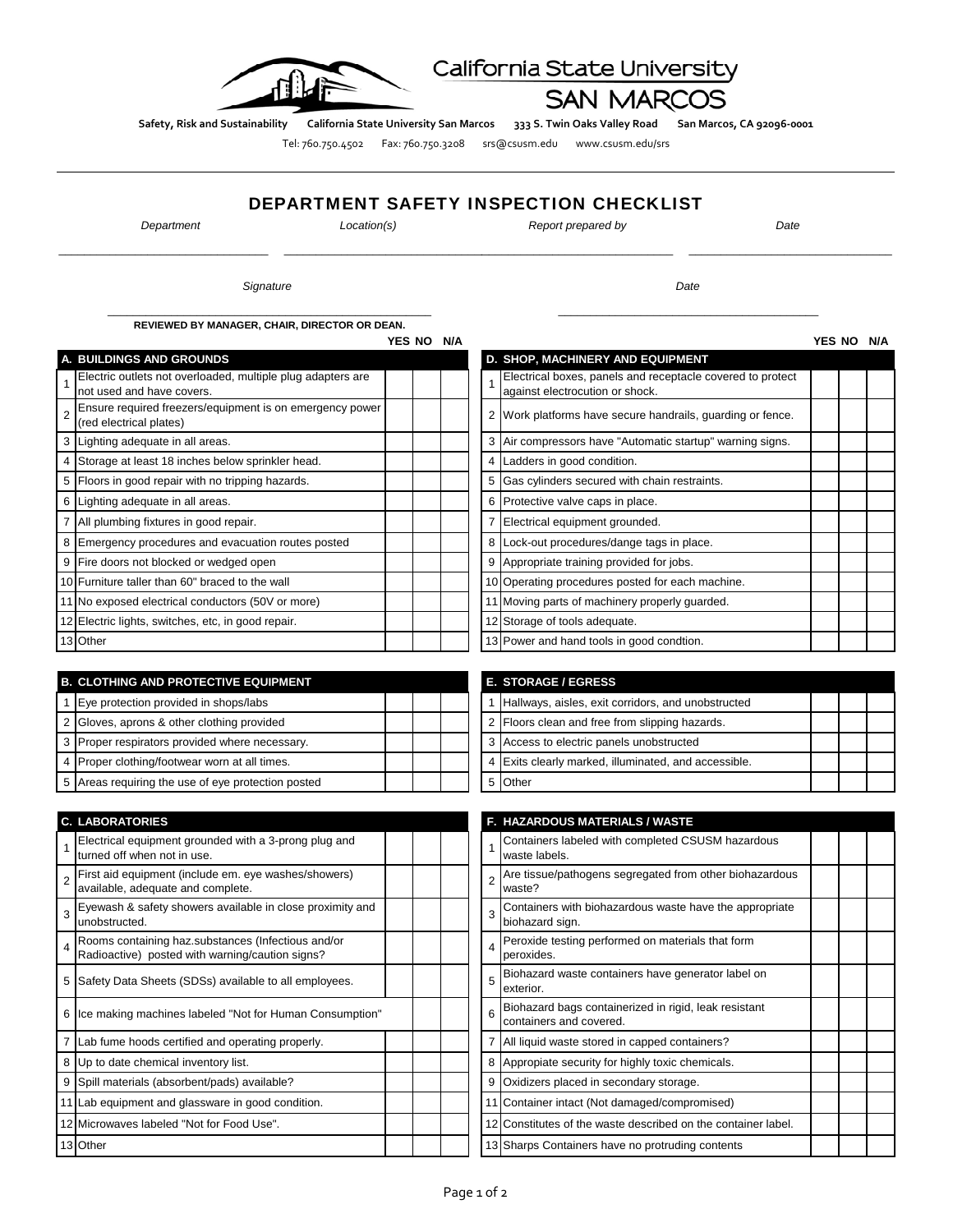

## California State University

**SAN MARCOS** 

Safety, Risk and Sustainability California State University San Marcos 333 S. Twin Oaks Valley Road San Marcos, CA 92096-0001

Tel: 760.750.4502 Fax: 760.750.3208 srs@csusm.edu www.csusm.edu/srs

## DEPARTMENT SAFETY INSPECTION CHECKLIST

\_\_\_\_\_\_\_\_\_\_\_\_\_\_\_\_\_\_\_\_\_\_\_\_\_\_\_\_\_\_\_\_\_ \_\_\_\_\_\_\_\_\_\_\_\_\_\_\_\_\_\_\_\_\_\_\_\_\_\_\_\_\_\_\_\_\_\_\_\_\_\_\_\_\_\_\_\_\_\_\_\_\_\_\_\_\_\_\_\_\_\_\_\_\_\_\_ \_\_\_\_\_\_\_\_\_\_\_\_\_\_\_\_\_\_\_\_\_\_\_\_\_\_\_\_\_\_\_\_

\_\_\_\_\_\_\_\_\_\_\_\_\_\_\_\_\_\_\_\_\_\_\_\_\_\_\_\_\_\_\_\_\_\_\_\_\_\_\_\_\_\_\_\_\_\_\_\_\_\_\_ \_\_\_\_\_\_\_\_\_\_\_\_\_\_\_\_\_\_\_\_\_\_\_\_\_\_\_\_\_\_\_\_\_\_\_\_\_\_\_\_\_

*Department Location(s) Report prepared by Date*

**Signature** Date

**REVIEWED BY MANAGER, CHAIR, DIRECTOR OR DEAN.**

| A. BUILDINGS AND GROUNDS                                                                 |  |   | D. SHOP, MACHINERY AND EQUIPMENT                                                              |
|------------------------------------------------------------------------------------------|--|---|-----------------------------------------------------------------------------------------------|
| Electric outlets not overloaded, multiple plug adapters are<br>not used and have covers. |  |   | Electrical boxes, panels and receptacle covered to protect<br>against electrocution or shock. |
| Ensure required freezers/equipment is on emergency power<br>(red electrical plates)      |  |   | 2 Work platforms have secure handrails, guarding or fence.                                    |
| 3 Lighting adequate in all areas.                                                        |  |   | 3 Air compressors have "Automatic startup" warning signs.                                     |
| 4 Storage at least 18 inches below sprinkler head.                                       |  |   | Ladders in good condition.                                                                    |
| 5 Floors in good repair with no tripping hazards.                                        |  |   | Gas cylinders secured with chain restraints.                                                  |
| 6 Lighting adequate in all areas.                                                        |  |   | 6 Protective valve caps in place.                                                             |
| 7 All plumbing fixtures in good repair.                                                  |  |   | Electrical equipment grounded.                                                                |
| 8 Emergency procedures and evacuation routes posted                                      |  | 8 | Lock-out procedures/dange tags in place.                                                      |
| 9 Fire doors not blocked or wedged open                                                  |  | 9 | Appropriate training provided for jobs.                                                       |
| 10 Furniture taller than 60" braced to the wall                                          |  |   | 10 Operating procedures posted for each machine.                                              |
| 11 No exposed electrical conductors (50V or more)                                        |  |   | 11 Moving parts of machinery properly guarded.                                                |
| 12 Electric lights, switches, etc, in good repair.                                       |  |   | 12 Storage of tools adequate.                                                                 |
| 13 Other                                                                                 |  |   | 13 Power and hand tools in good condtion.                                                     |

| <b>B. CLOTHING AND PROTECTIVE EQUIPMENT</b>        |  |  |  | <b>E. STORAGE / EGRESS</b>                           |
|----------------------------------------------------|--|--|--|------------------------------------------------------|
| Eye protection provided in shops/labs              |  |  |  | Hallways, aisles, exit corridors, and unobstructed   |
| 2 Gloves, aprons & other clothing provided         |  |  |  | 2 Floors clean and free from slipping hazards.       |
| 3 Proper respirators provided where necessary.     |  |  |  | 3 Access to electric panels unobstructed             |
| 4 Proper clothing/footwear worn at all times.      |  |  |  | 4 Exits clearly marked, illuminated, and accessible. |
| 5 Areas requiring the use of eye protection posted |  |  |  | <b>Other</b>                                         |

|   | <b>C. LABORATORIES</b>                                                                                |  |   | <b>F. HAZARDOUS MATERIALS / WASTE</b>                                            |
|---|-------------------------------------------------------------------------------------------------------|--|---|----------------------------------------------------------------------------------|
|   | Electrical equipment grounded with a 3-prong plug and<br>turned off when not in use.                  |  |   | Containers labeled with completed CSUSM hazardous<br>waste labels.               |
|   | First aid equipment (include em. eye washes/showers)<br>available, adequate and complete.             |  |   | Are tissue/pathogens segregated from other biohazardous<br>waste?                |
|   | Eyewash & safety showers available in close proximity and<br>unobstructed.                            |  |   | Containers with biohazardous waste have the appropriate<br>biohazard sign.       |
|   | Rooms containing haz substances (Infectious and/or<br>Radioactive) posted with warning/caution signs? |  |   | Peroxide testing performed on materials that form<br>peroxides.                  |
| 5 | Safety Data Sheets (SDSs) available to all employees.                                                 |  | 5 | Biohazard waste containers have generator label on<br>exterior.                  |
| 6 | Ice making machines labeled "Not for Human Consumption"                                               |  |   | Biohazard bags containerized in rigid, leak resistant<br>containers and covered. |
|   | Lab fume hoods certified and operating properly.                                                      |  |   | All liquid waste stored in capped containers?                                    |
|   | 8 Up to date chemical inventory list.                                                                 |  |   | Appropiate security for highly toxic chemicals.                                  |
| 9 | Spill materials (absorbent/pads) available?                                                           |  |   | Oxidizers placed in secondary storage.                                           |
|   | 11 Lab equipment and glassware in good condition.                                                     |  |   | 11 Container intact (Not damaged/compromised)                                    |
|   | 12 Microwaves labeled "Not for Food Use".                                                             |  |   | 12 Constitutes of the waste described on the container label.                    |
|   | 13 Other                                                                                              |  |   | 13 Sharps Containers have no protruding contents                                 |

| YES NO | N/A |   |                                                                                               | YES NO | $N/\Delta$ |
|--------|-----|---|-----------------------------------------------------------------------------------------------|--------|------------|
|        |     |   | D. SHOP, MACHINERY AND EQUIPMENT                                                              |        |            |
|        |     | 1 | Electrical boxes, panels and receptacle covered to protect<br>against electrocution or shock. |        |            |
|        |     |   | Work platforms have secure handrails, quarding or fence.                                      |        |            |
|        |     | 3 | Air compressors have "Automatic startup" warning signs.                                       |        |            |
|        |     | 4 | Ladders in good condition.                                                                    |        |            |
|        |     | 5 | Gas cylinders secured with chain restraints.                                                  |        |            |
|        |     | 6 | Protective valve caps in place.                                                               |        |            |
|        |     | 7 | Electrical equipment grounded.                                                                |        |            |
|        |     | 8 | Lock-out procedures/dange tags in place.                                                      |        |            |
|        |     | 9 | Appropriate training provided for jobs.                                                       |        |            |
|        |     |   | 10 Operating procedures posted for each machine.                                              |        |            |
|        |     |   | 11 Moving parts of machinery properly guarded.                                                |        |            |
|        |     |   | 12 Storage of tools adequate.                                                                 |        |            |
|        |     |   | 13 Power and hand tools in good condtion.                                                     |        |            |

|   | <b>E. STORAGE / EGRESS</b>                         |  |  |
|---|----------------------------------------------------|--|--|
|   | Hallways, aisles, exit corridors, and unobstructed |  |  |
|   | 2 Floors clean and free from slipping hazards.     |  |  |
| 3 | Access to electric panels unobstructed             |  |  |
|   | Exits clearly marked, illuminated, and accessible. |  |  |
|   | ther                                               |  |  |

|                         | <b>F. HAZARDOUS MATERIALS / WASTE</b>                                            |  |  |
|-------------------------|----------------------------------------------------------------------------------|--|--|
| 1                       | Containers labeled with completed CSUSM hazardous<br>waste labels.               |  |  |
| $\overline{2}$          | Are tissue/pathogens segregated from other biohazardous<br>waste?                |  |  |
| 3                       | Containers with biohazardous waste have the appropriate<br>biohazard sign.       |  |  |
| $\overline{\mathbf{A}}$ | Peroxide testing performed on materials that form<br>peroxides.                  |  |  |
| 5                       | Biohazard waste containers have generator label on<br>exterior.                  |  |  |
| 6                       | Biohazard bags containerized in rigid, leak resistant<br>containers and covered. |  |  |
| 7                       | All liquid waste stored in capped containers?                                    |  |  |
| 8                       | Appropiate security for highly toxic chemicals.                                  |  |  |
| 9                       | Oxidizers placed in secondary storage.                                           |  |  |
| 11                      | Container intact (Not damaged/compromised)                                       |  |  |
| 12 <sub>l</sub>         | Constitutes of the waste described on the container label.                       |  |  |
|                         | 13 Sharps Containers have no protruding contents                                 |  |  |